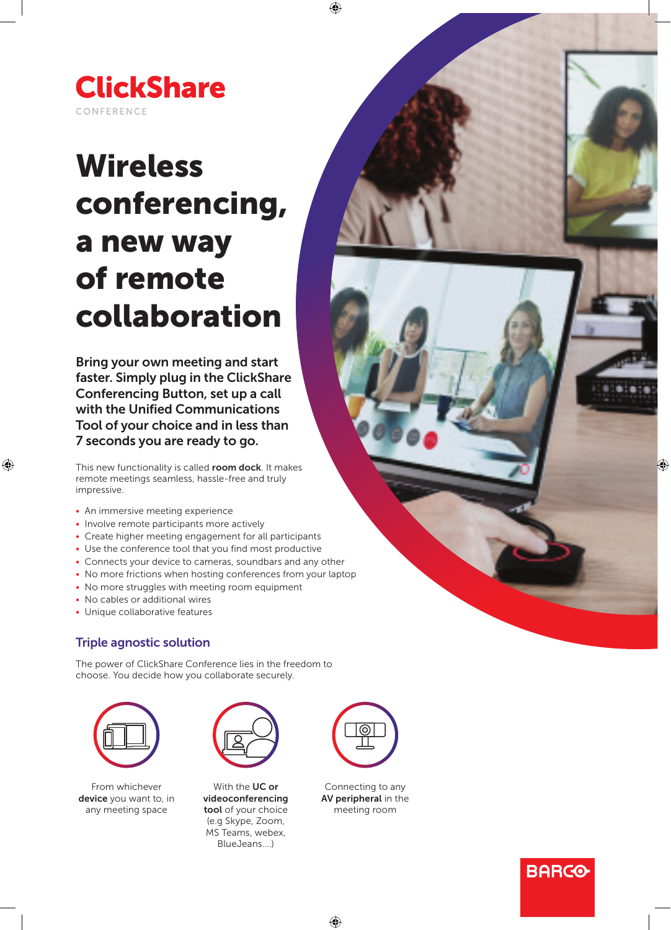

# Wireless conferencing, a new way of remote collaboration

Bring your own meeting and start faster. Simply plug in the ClickShare Conferencing Button, set up a call with the Unified Communications Tool of your choice and in less than 7 seconds you are ready to go.

This new functionality is called room dock. It makes remote meetings seamless, hassle-free and truly impressive.

- An immersive meeting experience
- Involve remote participants more actively
- Create higher meeting engagement for all participants
- Use the conference tool that you find most productive
- Connects your device to cameras, soundbars and any other
- No more frictions when hosting conferences from your laptop
- No more struggles with meeting room equipment
- No cables or additional wires
- Unique collaborative features

## Triple agnostic solution

The power of ClickShare Conference lies in the freedom to choose. You decide how you collaborate securely.



From whichever device you want to, in any meeting space



With the UC or videoconferencing tool of your choice (e.g Skype, Zoom, MS Teams, webex, BlueJeans....)



Connecting to any AV peripheral in the meeting room